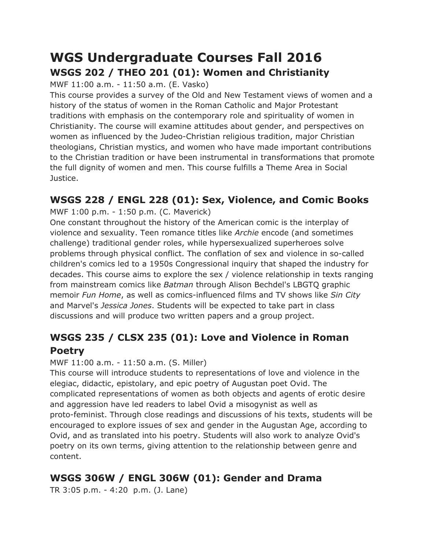# **WGS Undergraduate Courses Fall 2016 WSGS 202 / THEO 201 (01): Women and Christianity**

MWF 11:00 a.m. - 11:50 a.m. (E. Vasko)

This course provides a survey of the Old and New Testament views of women and a history of the status of women in the Roman Catholic and Major Protestant traditions with emphasis on the contemporary role and spirituality of women in Christianity. The course will examine attitudes about gender, and perspectives on women as influenced by the Judeo-Christian religious tradition, major Christian theologians, Christian mystics, and women who have made important contributions to the Christian tradition or have been instrumental in transformations that promote the full dignity of women and men. This course fulfills a Theme Area in Social Justice.

## **WSGS 228 / ENGL 228 (01): Sex, Violence, and Comic Books**

MWF 1:00 p.m. - 1:50 p.m. (C. Maverick)

One constant throughout the history of the American comic is the interplay of violence and sexuality. Teen romance titles like *Archie* encode (and sometimes challenge) traditional gender roles, while hypersexualized superheroes solve problems through physical conflict. The conflation of sex and violence in so-called children's comics led to a 1950s Congressional inquiry that shaped the industry for decades. This course aims to explore the sex / violence relationship in texts ranging from mainstream comics like *Batman* through Alison Bechdel's LBGTQ graphic memoir *Fun Home*, as well as comics-influenced films and TV shows like *Sin City* and Marvel's *Jessica Jones*. Students will be expected to take part in class discussions and will produce two written papers and a group project.

# **WSGS 235 / CLSX 235 (01): Love and Violence in Roman Poetry**

#### MWF 11:00 a.m. - 11:50 a.m. (S. Miller)

This course will introduce students to representations of love and violence in the elegiac, didactic, epistolary, and epic poetry of Augustan poet Ovid. The complicated representations of women as both objects and agents of erotic desire and aggression have led readers to label Ovid a misogynist as well as proto-feminist. Through close readings and discussions of his texts, students will be encouraged to explore issues of sex and gender in the Augustan Age, according to Ovid, and as translated into his poetry. Students will also work to analyze Ovid's poetry on its own terms, giving attention to the relationship between genre and content.

# **WSGS 306W / ENGL 306W (01): Gender and Drama**

TR 3:05 p.m. - 4:20 p.m. (J. Lane)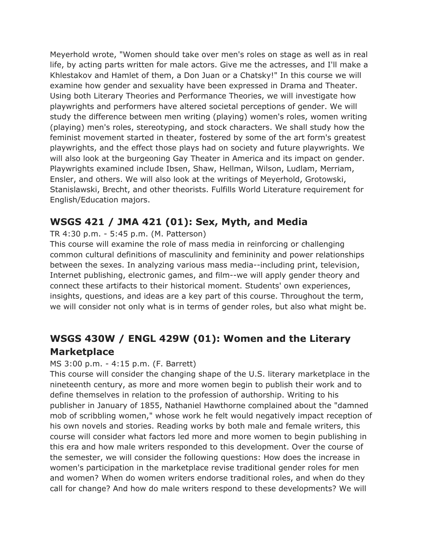Meyerhold wrote, "Women should take over men's roles on stage as well as in real life, by acting parts written for male actors. Give me the actresses, and I'll make a Khlestakov and Hamlet of them, a Don Juan or a Chatsky!" In this course we will examine how gender and sexuality have been expressed in Drama and Theater. Using both Literary Theories and Performance Theories, we will investigate how playwrights and performers have altered societal perceptions of gender. We will study the difference between men writing (playing) women's roles, women writing (playing) men's roles, stereotyping, and stock characters. We shall study how the feminist movement started in theater, fostered by some of the art form's greatest playwrights, and the effect those plays had on society and future playwrights. We will also look at the burgeoning Gay Theater in America and its impact on gender. Playwrights examined include Ibsen, Shaw, Hellman, Wilson, Ludlam, Merriam, Ensler, and others. We will also look at the writings of Meyerhold, Grotowski, Stanislawski, Brecht, and other theorists. Fulfills World Literature requirement for English/Education majors.

### **WSGS 421 / JMA 421 (01): Sex, Myth, and Media**

#### TR 4:30 p.m. - 5:45 p.m. (M. Patterson)

This course will examine the role of mass media in reinforcing or challenging common cultural definitions of masculinity and femininity and power relationships between the sexes. In analyzing various mass media--including print, television, Internet publishing, electronic games, and film--we will apply gender theory and connect these artifacts to their historical moment. Students' own experiences, insights, questions, and ideas are a key part of this course. Throughout the term, we will consider not only what is in terms of gender roles, but also what might be.

## **WSGS 430W / ENGL 429W (01): Women and the Literary Marketplace**

#### MS 3:00 p.m. - 4:15 p.m. (F. Barrett)

This course will consider the changing shape of the U.S. literary marketplace in the nineteenth century, as more and more women begin to publish their work and to define themselves in relation to the profession of authorship. Writing to his publisher in January of 1855, Nathaniel Hawthorne complained about the "damned mob of scribbling women," whose work he felt would negatively impact reception of his own novels and stories. Reading works by both male and female writers, this course will consider what factors led more and more women to begin publishing in this era and how male writers responded to this development. Over the course of the semester, we will consider the following questions: How does the increase in women's participation in the marketplace revise traditional gender roles for men and women? When do women writers endorse traditional roles, and when do they call for change? And how do male writers respond to these developments? We will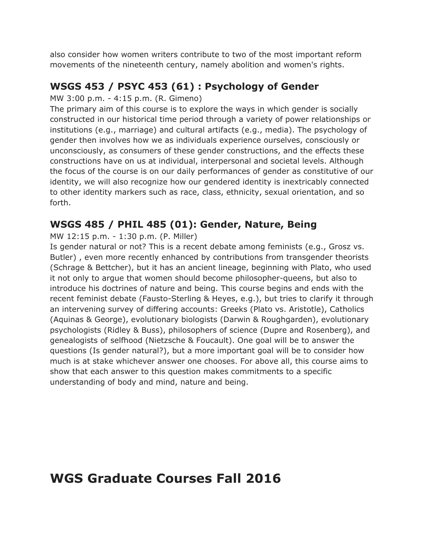also consider how women writers contribute to two of the most important reform movements of the nineteenth century, namely abolition and women's rights.

### **WSGS 453 / PSYC 453 (61) : Psychology of Gender**

#### MW 3:00 p.m. - 4:15 p.m. (R. Gimeno)

The primary aim of this course is to explore the ways in which gender is socially constructed in our historical time period through a variety of power relationships or institutions (e.g., marriage) and cultural artifacts (e.g., media). The psychology of gender then involves how we as individuals experience ourselves, consciously or unconsciously, as consumers of these gender constructions, and the effects these constructions have on us at individual, interpersonal and societal levels. Although the focus of the course is on our daily performances of gender as constitutive of our identity, we will also recognize how our gendered identity is inextricably connected to other identity markers such as race, class, ethnicity, sexual orientation, and so forth.

### **WSGS 485 / PHIL 485 (01): Gender, Nature, Being**

MW 12:15 p.m. - 1:30 p.m. (P. Miller)

Is gender natural or not? This is a recent debate among feminists (e.g., Grosz vs. Butler) , even more recently enhanced by contributions from transgender theorists (Schrage & Bettcher), but it has an ancient lineage, beginning with Plato, who used it not only to argue that women should become philosopher-queens, but also to introduce his doctrines of nature and being. This course begins and ends with the recent feminist debate (Fausto-Sterling & Heyes, e.g.), but tries to clarify it through an intervening survey of differing accounts: Greeks (Plato vs. Aristotle), Catholics (Aquinas & George), evolutionary biologists (Darwin & Roughgarden), evolutionary psychologists (Ridley & Buss), philosophers of science (Dupre and Rosenberg), and genealogists of selfhood (Nietzsche & Foucault). One goal will be to answer the questions (Is gender natural?), but a more important goal will be to consider how much is at stake whichever answer one chooses. For above all, this course aims to show that each answer to this question makes commitments to a specific understanding of body and mind, nature and being.

# **WGS Graduate Courses Fall 2016**